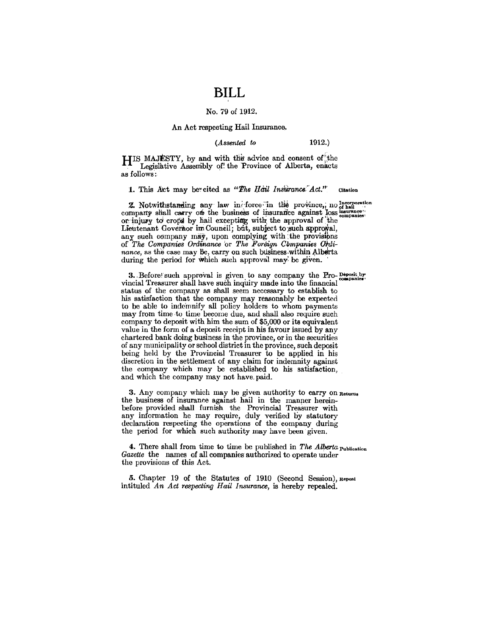## **BILL**

### No. 79 of 1912.

#### An Act respecting Hail Insurance.

#### (Assented to

 $1912.)$ 

HIS MAJESTY, by and with the advice and consent of the Legislative Assembly of the Province of Alberta, enacts as follows:

1. This Act may be cited as "The Hail Insurance Act." Citation

2. Notwithstanding any law in force in the province, no of hail company shall carry of the business of insurance against loss companies or injury to crops by hail excepting with the approval of the Lieutenant Governor im Council; but, subject to such approval, any such company may, upon complying with the provisions of The Companies Ordinance or The Foreign Companies Ordinance, as the case may be, carry on such business within Alberta during the period for which such approval may be given.

3. Before such approval is given to any company the Pro-Deposit by vincial Treasurer shall have such inquiry made into the financial status of the company as shall seem necessary to establish to his satisfaction that the company may reasonably be expected to be able to indemnify all policy holders to whom payments may from time to time become due, and shall also require such company to deposit with him the sum of \$5,000 or its equivalent value in the form of a deposit receipt in his favour issued by any chartered bank doing business in the province, or in the securities of any municipality or school district in the province, such deposit being held by the Provincial Treasurer to be applied in his discretion in the settlement of any claim for indemnity against the company which may be established to his satisfaction, and which the company may not have paid.

3. Any company which may be given authority to carry on Returns the business of insurance against hail in the manner hereinbefore provided shall furnish the Provincial Treasurer with any information he may require, duly verified by statutory declaration respecting the operations of the company during the period for which such authority may have been given.

4. There shall from time to time be published in The Alberta Publication Gazette the names of all companies authorized to operate under the provisions of this Act.

5. Chapter 19 of the Statutes of 1910 (Second Session), Repeal intituled An Act respecting Hail Insurance, is hereby repealed.